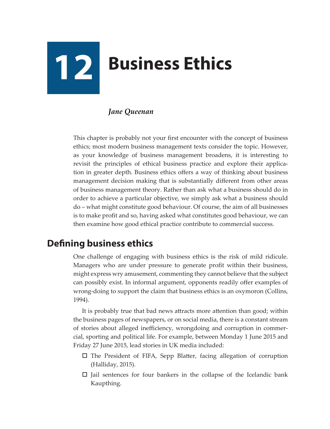# **12 Business Ethics**

### *Jane Queenan*

This chapter is probably not your first encounter with the concept of business ethics; most modern business management texts consider the topic. However, as your knowledge of business management broadens, it is interesting to revisit the principles of ethical business practice and explore their application in greater depth. Business ethics offers a way of thinking about business management decision making that is substantially different from other areas of business management theory. Rather than ask what a business should do in order to achieve a particular objective, we simply ask what a business should do – what might constitute good behaviour. Of course, the aim of all businesses is to make profit and so, having asked what constitutes good behaviour, we can then examine how good ethical practice contribute to commercial success.

# **Defining business ethics**

One challenge of engaging with business ethics is the risk of mild ridicule. Managers who are under pressure to generate profit within their business, might express wry amusement, commenting they cannot believe that the subject can possibly exist. In informal argument, opponents readily offer examples of wrong-doing to support the claim that business ethics is an oxymoron (Collins, 1994).

It is probably true that bad news attracts more attention than good; within the business pages of newspapers, or on social media, there is a constant stream of stories about alleged inefficiency, wrongdoing and corruption in commercial, sporting and political life. For example, between Monday 1 June 2015 and Friday 27 June 2015, lead stories in UK media included:

- $\square$  The President of FIFA, Sepp Blatter, facing allegation of corruption (Halliday, 2015).
- $\Box$  Jail sentences for four bankers in the collapse of the Icelandic bank Kaupthing.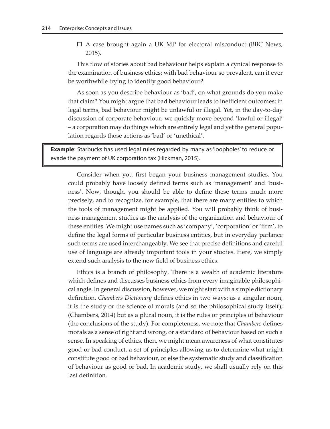$\Box$  A case brought again a UK MP for electoral misconduct (BBC News, 2015).

This flow of stories about bad behaviour helps explain a cynical response to the examination of business ethics; with bad behaviour so prevalent, can it ever be worthwhile trying to identify good behaviour?

As soon as you describe behaviour as 'bad', on what grounds do you make that claim? You might argue that bad behaviour leads to inefficient outcomes; in legal terms, bad behaviour might be unlawful or illegal. Yet, in the day-to-day discussion of corporate behaviour, we quickly move beyond 'lawful or illegal' – a corporation may do things which are entirely legal and yet the general population regards those actions as 'bad' or 'unethical'.

**Example**: Starbucks has used legal rules regarded by many as 'loopholes' to reduce or evade the payment of UK corporation tax (Hickman, 2015).

Consider when you first began your business management studies. You could probably have loosely defined terms such as 'management' and 'business'. Now, though, you should be able to define these terms much more precisely, and to recognize, for example, that there are many entities to which the tools of management might be applied. You will probably think of business management studies as the analysis of the organization and behaviour of these entities. We might use names such as 'company', 'corporation' or 'firm', to define the legal forms of particular business entities, but in everyday parlance such terms are used interchangeably. We see that precise definitions and careful use of language are already important tools in your studies. Here, we simply extend such analysis to the new field of business ethics.

Ethics is a branch of philosophy. There is a wealth of academic literature which defines and discusses business ethics from every imaginable philosophical angle. In general discussion, however, we might start with a simple dictionary definition. *Chambers Dictionary* defines ethics in two ways: as a singular noun, it is the study or the science of morals (and so the philosophical study itself); (Chambers, 2014) but as a plural noun, it is the rules or principles of behaviour (the conclusions of the study). For completeness, we note that *Chambers* defines morals as a sense of right and wrong, or a standard of behaviour based on such a sense. In speaking of ethics, then, we might mean awareness of what constitutes good or bad conduct, a set of principles allowing us to determine what might constitute good or bad behaviour, or else the systematic study and classification of behaviour as good or bad. In academic study, we shall usually rely on this last definition.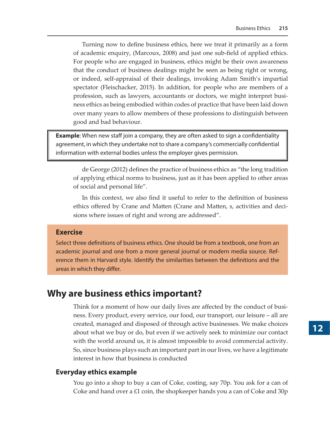Turning now to define business ethics, here we treat it primarily as a form of academic enquiry, (Marcoux, 2008) and just one sub-field of applied ethics. For people who are engaged in business, ethics might be their own awareness that the conduct of business dealings might be seen as being right or wrong, or indeed, self-appraisal of their dealings, invoking Adam Smith's impartial spectator (Fleischacker, 2015). In addition, for people who are members of a profession, such as lawyers, accountants or doctors, we might interpret business ethics as being embodied within codes of practice that have been laid down over many years to allow members of these professions to distinguish between good and bad behaviour.

**Example**: When new staff join a company, they are often asked to sign a confidentiality agreement, in which they undertake not to share a company's commercially confidential information with external bodies unless the employer gives permission.

de George (2012) defines the practice of business ethics as "the long tradition of applying ethical norms to business, just as it has been applied to other areas of social and personal life".

In this context, we also find it useful to refer to the definition of business ethics offered by Crane and Matten (Crane and Matten, s, activities and decisions where issues of right and wrong are addressed".

#### **Exercise**

Select three definitions of business ethics. One should be from a textbook, one from an academic journal and one from a more general journal or modern media source. Reference them in Harvard style. Identify the similarities between the definitions and the areas in which they differ.

## **Why are business ethics important?**

Think for a moment of how our daily lives are affected by the conduct of business. Every product, every service, our food, our transport, our leisure – all are created, managed and disposed of through active businesses. We make choices about what we buy or do, but even if we actively seek to minimize our contact with the world around us, it is almost impossible to avoid commercial activity. So, since business plays such an important part in our lives, we have a legitimate interest in how that business is conducted

#### **Everyday ethics example**

You go into a shop to buy a can of Coke, costing, say 70p. You ask for a can of Coke and hand over a  $£1$  coin, the shopkeeper hands you a can of Coke and 30p